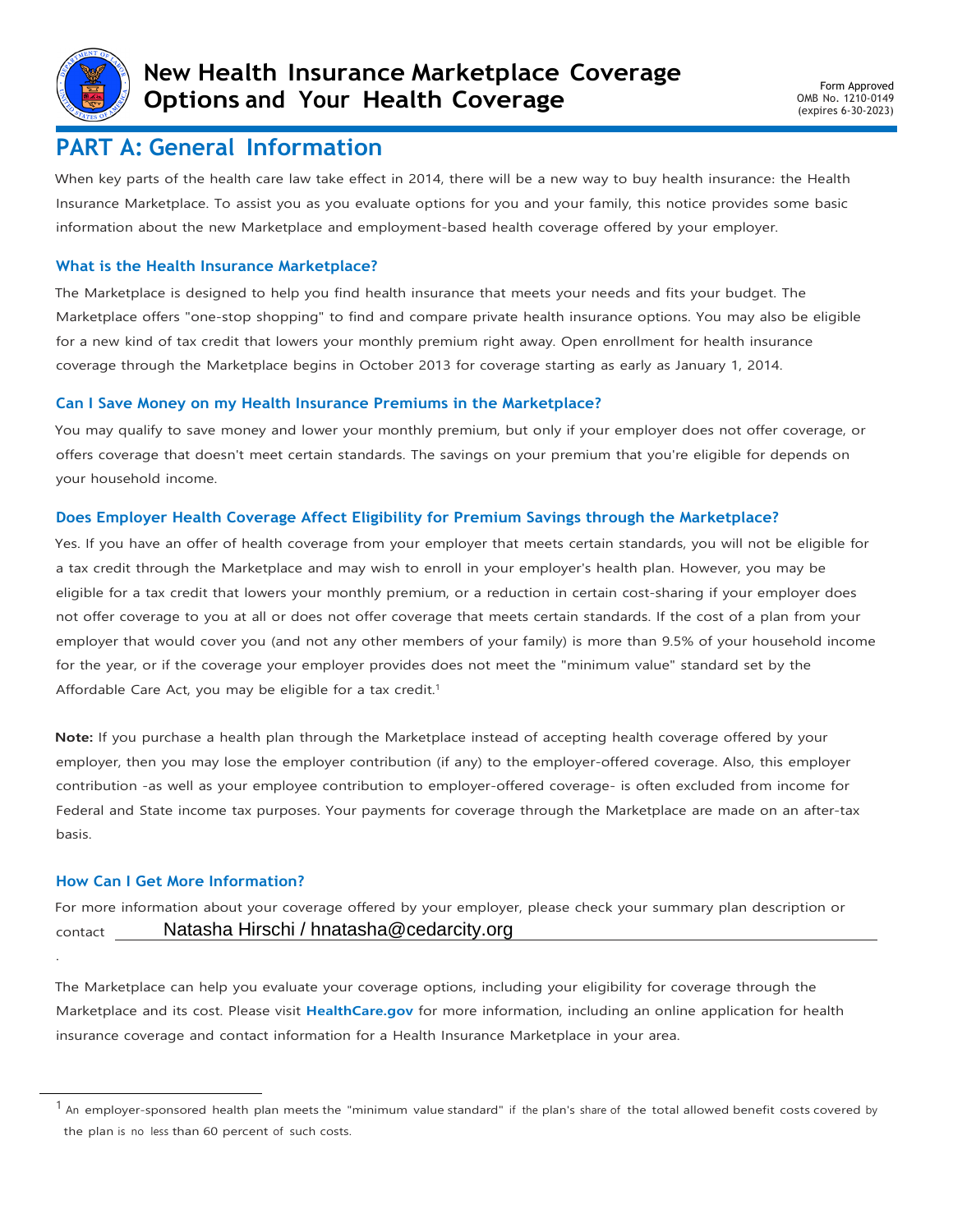

# **PART A: General Information**

When key parts of the health care law take effect in 2014, there will be a new way to buy health insurance: the Health Insurance Marketplace. To assist you as you evaluate options for you and your family, this notice provides some basic information about the new Marketplace and employment-based health coverage offered by your employer.

## **What is the Health Insurance Marketplace?**

The Marketplace is designed to help you find health insurance that meets your needs and fits your budget. The Marketplace offers "one-stop shopping" to find and compare private health insurance options. You may also be eligible for a new kind of tax credit that lowers your monthly premium right away. Open enrollment for health insurance coverage through the Marketplace begins in October 2013 for coverage starting as early as January 1, 2014.

#### **Can I Save Money on my Health Insurance Premiums in the Marketplace?**

You may qualify to save money and lower your monthly premium, but only if your employer does not offer coverage, or offers coverage that doesn't meet certain standards. The savings on your premium that you're eligible for depends on your household income.

### **Does Employer Health Coverage Affect Eligibility for Premium Savings through the Marketplace?**

Yes. If you have an offer of health coverage from your employer that meets certain standards, you will not be eligible for a tax credit through the Marketplace and may wish to enroll in your employer's health plan. However, you may be eligible for a tax credit that lowers your monthly premium, or a reduction in certain cost-sharing if your employer does not offer coverage to you at all or does not offer coverage that meets certain standards. If the cost of a plan from your employer that would cover you (and not any other members of your family) is more than 9.5% of your household income for the year, or if the coverage your employer provides does not meet the "minimum value" standard set by the Affordable Care Act, you may be eligible for a tax credit.<sup>1</sup>

**Note:** If you purchase a health plan through the Marketplace instead of accepting health coverage offered by your employer, then you may lose the employer contribution (if any) to the employer-offered coverage. Also, this employer contribution -as well as your employee contribution to employer-offered coverage- is often excluded from income for Federal and State income tax purposes. Your payments for coverage through the Marketplace are made on an after-tax basis.

#### **How Can I Get More Information?**

.

For more information about your coverage offered by your employer, please check your summary plan description or contact Natasha Hirschi / hnatasha@cedarcity.org

The Marketplace can help you evaluate your coverage options, including your eligibility for coverage through the Marketplace and its cost. Please visit **[HealthCare.gov](http://www.healthcare.gov/)** for more information, including an online application for health insurance coverage and contact information for a Health Insurance Marketplace in your area.

 $<sup>1</sup>$  An employer-sponsored health plan meets the "minimum value standard" if the plan's share of the total allowed benefit costs covered by</sup> the plan is no less than 60 percent of such costs.